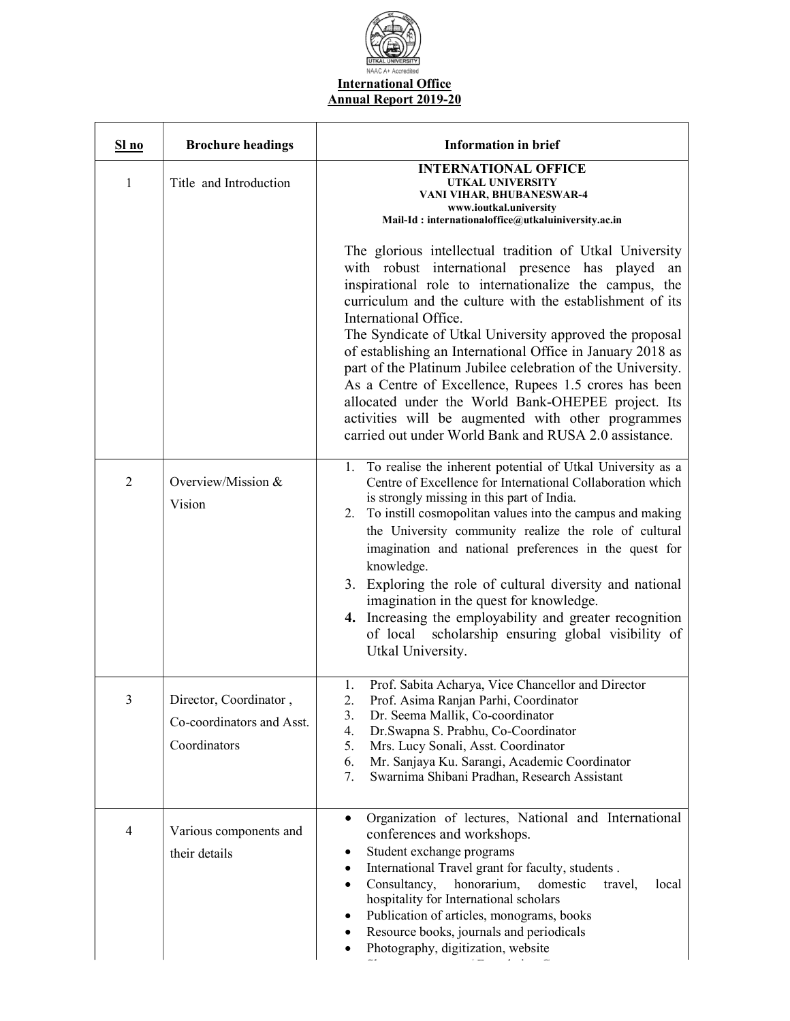

| S1no           | <b>Brochure headings</b>                                            | <b>Information in brief</b>                                                                                                                                                                                                                                                                                                                                                                                                                                                                                                                                                                                                                                                      |
|----------------|---------------------------------------------------------------------|----------------------------------------------------------------------------------------------------------------------------------------------------------------------------------------------------------------------------------------------------------------------------------------------------------------------------------------------------------------------------------------------------------------------------------------------------------------------------------------------------------------------------------------------------------------------------------------------------------------------------------------------------------------------------------|
| 1              | Title and Introduction                                              | <b>INTERNATIONAL OFFICE</b><br>UTKAL UNIVERSITY<br>VANI VIHAR, BHUBANESWAR-4<br>www.ioutkal.university<br>Mail-Id: internationaloffice@utkaluiniversity.ac.in                                                                                                                                                                                                                                                                                                                                                                                                                                                                                                                    |
|                |                                                                     | The glorious intellectual tradition of Utkal University<br>with robust international presence has played an<br>inspirational role to internationalize the campus, the<br>curriculum and the culture with the establishment of its<br>International Office.<br>The Syndicate of Utkal University approved the proposal<br>of establishing an International Office in January 2018 as<br>part of the Platinum Jubilee celebration of the University.<br>As a Centre of Excellence, Rupees 1.5 crores has been<br>allocated under the World Bank-OHEPEE project. Its<br>activities will be augmented with other programmes<br>carried out under World Bank and RUSA 2.0 assistance. |
| $\overline{2}$ | Overview/Mission &<br>Vision                                        | 1. To realise the inherent potential of Utkal University as a<br>Centre of Excellence for International Collaboration which<br>is strongly missing in this part of India.<br>2. To instill cosmopolitan values into the campus and making<br>the University community realize the role of cultural<br>imagination and national preferences in the quest for<br>knowledge.<br>3. Exploring the role of cultural diversity and national<br>imagination in the quest for knowledge.<br>4. Increasing the employability and greater recognition<br>of local scholarship ensuring global visibility of<br>Utkal University.                                                           |
| 3              | Director, Coordinator,<br>Co-coordinators and Asst.<br>Coordinators | Prof. Sabita Acharya, Vice Chancellor and Director<br>1.<br>Prof. Asima Ranjan Parhi, Coordinator<br>Dr. Seema Mallik, Co-coordinator<br>3.<br>Dr.Swapna S. Prabhu, Co-Coordinator<br>4.<br>Mrs. Lucy Sonali, Asst. Coordinator<br>5.<br>Mr. Sanjaya Ku. Sarangi, Academic Coordinator<br>6.<br>Swarnima Shibani Pradhan, Research Assistant<br>7.                                                                                                                                                                                                                                                                                                                               |
| 4              | Various components and<br>their details                             | Organization of lectures, National and International<br>conferences and workshops.<br>Student exchange programs<br>International Travel grant for faculty, students.<br>Consultancy,<br>honorarium,<br>domestic<br>travel,<br>local<br>hospitality for International scholars<br>Publication of articles, monograms, books<br>Resource books, journals and periodicals<br>Photography, digitization, website                                                                                                                                                                                                                                                                     |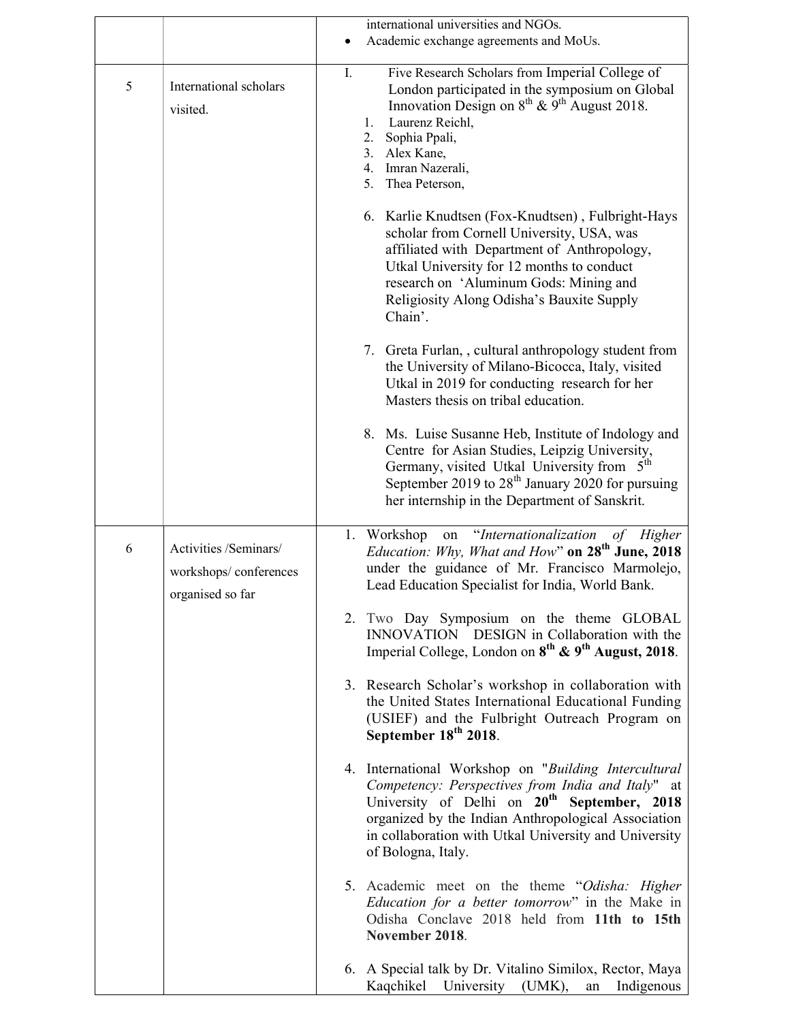|   |                                                                    | international universities and NGOs.                                                                                                                                                                                                                                                                       |
|---|--------------------------------------------------------------------|------------------------------------------------------------------------------------------------------------------------------------------------------------------------------------------------------------------------------------------------------------------------------------------------------------|
|   |                                                                    | Academic exchange agreements and MoUs.                                                                                                                                                                                                                                                                     |
| 5 | International scholars<br>visited.                                 | Ι.<br>Five Research Scholars from Imperial College of<br>London participated in the symposium on Global<br>Innovation Design on $8^{th}$ & $9^{th}$ August 2018.<br>Laurenz Reichl,<br>1.<br>2.<br>Sophia Ppali,<br>3. Alex Kane,<br>4. Imran Nazerali,<br>5. Thea Peterson,                               |
|   |                                                                    | 6. Karlie Knudtsen (Fox-Knudtsen), Fulbright-Hays<br>scholar from Cornell University, USA, was<br>affiliated with Department of Anthropology,<br>Utkal University for 12 months to conduct<br>research on 'Aluminum Gods: Mining and<br>Religiosity Along Odisha's Bauxite Supply<br>Chain'.               |
|   |                                                                    | 7. Greta Furlan,, cultural anthropology student from<br>the University of Milano-Bicocca, Italy, visited<br>Utkal in 2019 for conducting research for her<br>Masters thesis on tribal education.                                                                                                           |
|   |                                                                    | 8. Ms. Luise Susanne Heb, Institute of Indology and<br>Centre for Asian Studies, Leipzig University,<br>Germany, visited Utkal University from 5 <sup>th</sup><br>September 2019 to 28 <sup>th</sup> January 2020 for pursuing<br>her internship in the Department of Sanskrit.                            |
| 6 | Activities /Seminars/<br>workshops/conferences<br>organised so far | on "Internationalization of Higher<br>1. Workshop<br>Education: Why, What and How" on 28 <sup>th</sup> June, 2018<br>under the guidance of Mr. Francisco Marmolejo,<br>Lead Education Specialist for India, World Bank.                                                                                    |
|   |                                                                    | 2. Two Day Symposium on the theme GLOBAL<br>INNOVATION DESIGN in Collaboration with the<br>Imperial College, London on 8 <sup>th</sup> & 9 <sup>th</sup> August, 2018.                                                                                                                                     |
|   |                                                                    | 3. Research Scholar's workshop in collaboration with<br>the United States International Educational Funding<br>(USIEF) and the Fulbright Outreach Program on<br>September 18 <sup>th</sup> 2018.                                                                                                           |
|   |                                                                    | 4. International Workshop on "Building Intercultural<br>Competency: Perspectives from India and Italy" at<br>University of Delhi on 20 <sup>th</sup> September, 2018<br>organized by the Indian Anthropological Association<br>in collaboration with Utkal University and University<br>of Bologna, Italy. |
|   |                                                                    | 5. Academic meet on the theme "Odisha: Higher<br>Education for a better tomorrow" in the Make in<br>Odisha Conclave 2018 held from 11th to 15th<br>November 2018.                                                                                                                                          |
|   |                                                                    | 6. A Special talk by Dr. Vitalino Similox, Rector, Maya<br>Kaqchikel<br>Indigenous<br>University<br>(UMK),<br>${\rm an}$                                                                                                                                                                                   |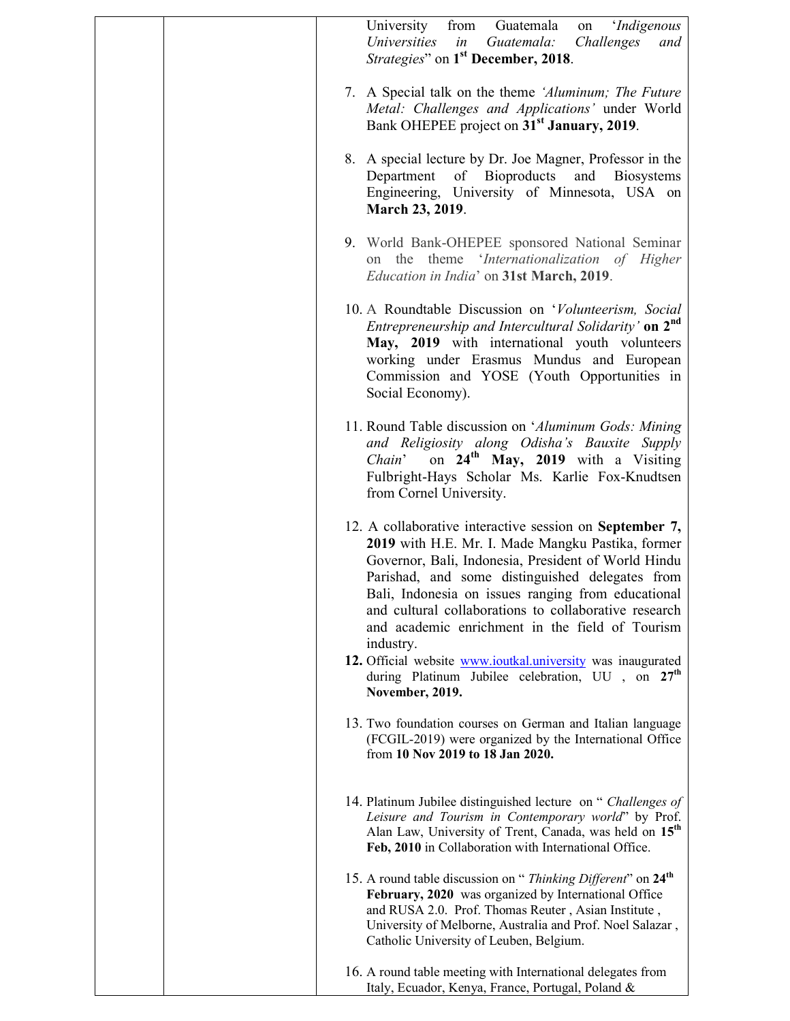| University<br>from Guatemala<br>on 'Indigenous<br>Universities<br>Guatemala:<br>Challenges<br>in<br>and<br>Strategies" on 1 <sup>st</sup> December, 2018.                                                                                                                                                                                                                                             |
|-------------------------------------------------------------------------------------------------------------------------------------------------------------------------------------------------------------------------------------------------------------------------------------------------------------------------------------------------------------------------------------------------------|
| 7. A Special talk on the theme 'Aluminum; The Future<br>Metal: Challenges and Applications' under World<br>Bank OHEPEE project on 31 <sup>st</sup> January, 2019.                                                                                                                                                                                                                                     |
| 8. A special lecture by Dr. Joe Magner, Professor in the<br>Department of Bioproducts and Biosystems<br>Engineering, University of Minnesota, USA on<br>March 23, 2019.                                                                                                                                                                                                                               |
| 9. World Bank-OHEPEE sponsored National Seminar<br>on the theme 'Internationalization of Higher<br>Education in India' on 31st March, 2019.                                                                                                                                                                                                                                                           |
| 10. A Roundtable Discussion on 'Volunteerism, Social<br>Entrepreneurship and Intercultural Solidarity' on 2 <sup>nd</sup><br>May, 2019 with international youth volunteers<br>working under Erasmus Mundus and European<br>Commission and YOSE (Youth Opportunities in<br>Social Economy).                                                                                                            |
| 11. Round Table discussion on 'Aluminum Gods: Mining<br>and Religiosity along Odisha's Bauxite Supply<br>on 24 <sup>th</sup> May, 2019 with a Visiting<br>Chain'<br>Fulbright-Hays Scholar Ms. Karlie Fox-Knudtsen<br>from Cornel University.                                                                                                                                                         |
| 12. A collaborative interactive session on September 7,<br>2019 with H.E. Mr. I. Made Mangku Pastika, former<br>Governor, Bali, Indonesia, President of World Hindu<br>Parishad, and some distinguished delegates from<br>Bali, Indonesia on issues ranging from educational<br>and cultural collaborations to collaborative research<br>and academic enrichment in the field of Tourism<br>industry. |
| 12. Official website <b>www.ioutkal.university</b> was inaugurated<br>during Platinum Jubilee celebration, UU, on 27 <sup>th</sup><br>November, 2019.                                                                                                                                                                                                                                                 |
| 13. Two foundation courses on German and Italian language<br>(FCGIL-2019) were organized by the International Office<br>from 10 Nov 2019 to 18 Jan 2020.                                                                                                                                                                                                                                              |
| 14. Platinum Jubilee distinguished lecture on "Challenges of<br>Leisure and Tourism in Contemporary world" by Prof.<br>Alan Law, University of Trent, Canada, was held on 15 <sup>th</sup><br>Feb, 2010 in Collaboration with International Office.                                                                                                                                                   |
| 15. A round table discussion on "Thinking Different" on 24 <sup>th</sup><br>February, 2020 was organized by International Office<br>and RUSA 2.0. Prof. Thomas Reuter, Asian Institute,<br>University of Melborne, Australia and Prof. Noel Salazar,<br>Catholic University of Leuben, Belgium.                                                                                                       |
| 16. A round table meeting with International delegates from<br>Italy, Ecuador, Kenya, France, Portugal, Poland &                                                                                                                                                                                                                                                                                      |